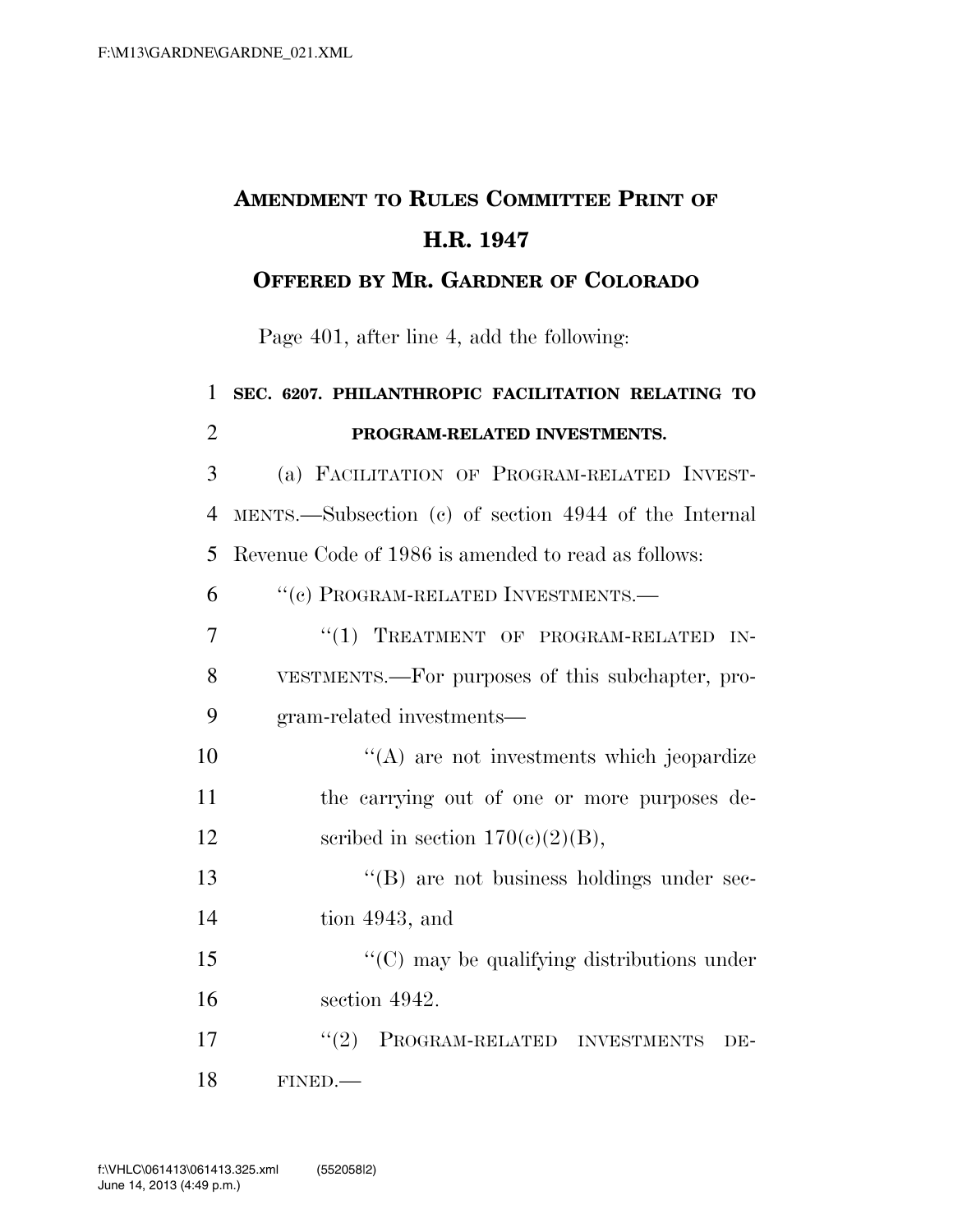# **AMENDMENT TO RULES COMMITTEE PRINT OF H.R. 1947**

#### **OFFERED BY MR. GARDNER OF COLORADO**

Page 401, after line 4, add the following:

| 1              | SEC. 6207. PHILANTHROPIC FACILITATION RELATING TO     |
|----------------|-------------------------------------------------------|
| $\overline{2}$ | PROGRAM-RELATED INVESTMENTS.                          |
| 3              | (a) FACILITATION OF PROGRAM-RELATED INVEST-           |
| $\overline{4}$ | MENTS.—Subsection (c) of section 4944 of the Internal |
| 5              | Revenue Code of 1986 is amended to read as follows:   |
| 6              | "(c) PROGRAM-RELATED INVESTMENTS.-                    |
| 7              | "(1) TREATMENT OF PROGRAM-RELATED IN-                 |
| 8              | VESTMENTS.—For purposes of this subchapter, pro-      |
| 9              | gram-related investments—                             |
| 10             | "(A) are not investments which jeopardize             |
| 11             | the carrying out of one or more purposes de-          |
| 12             | scribed in section $170(c)(2)(B)$ ,                   |
| 13             | "(B) are not business holdings under sec-             |
| 14             | tion 4943, and                                        |
| 15             | $\cdot$ (C) may be qualifying distributions under     |
| 16             | section 4942.                                         |
| 17             | "(2) PROGRAM-RELATED INVESTMENTS<br>DE-               |
| 18             | FINED.                                                |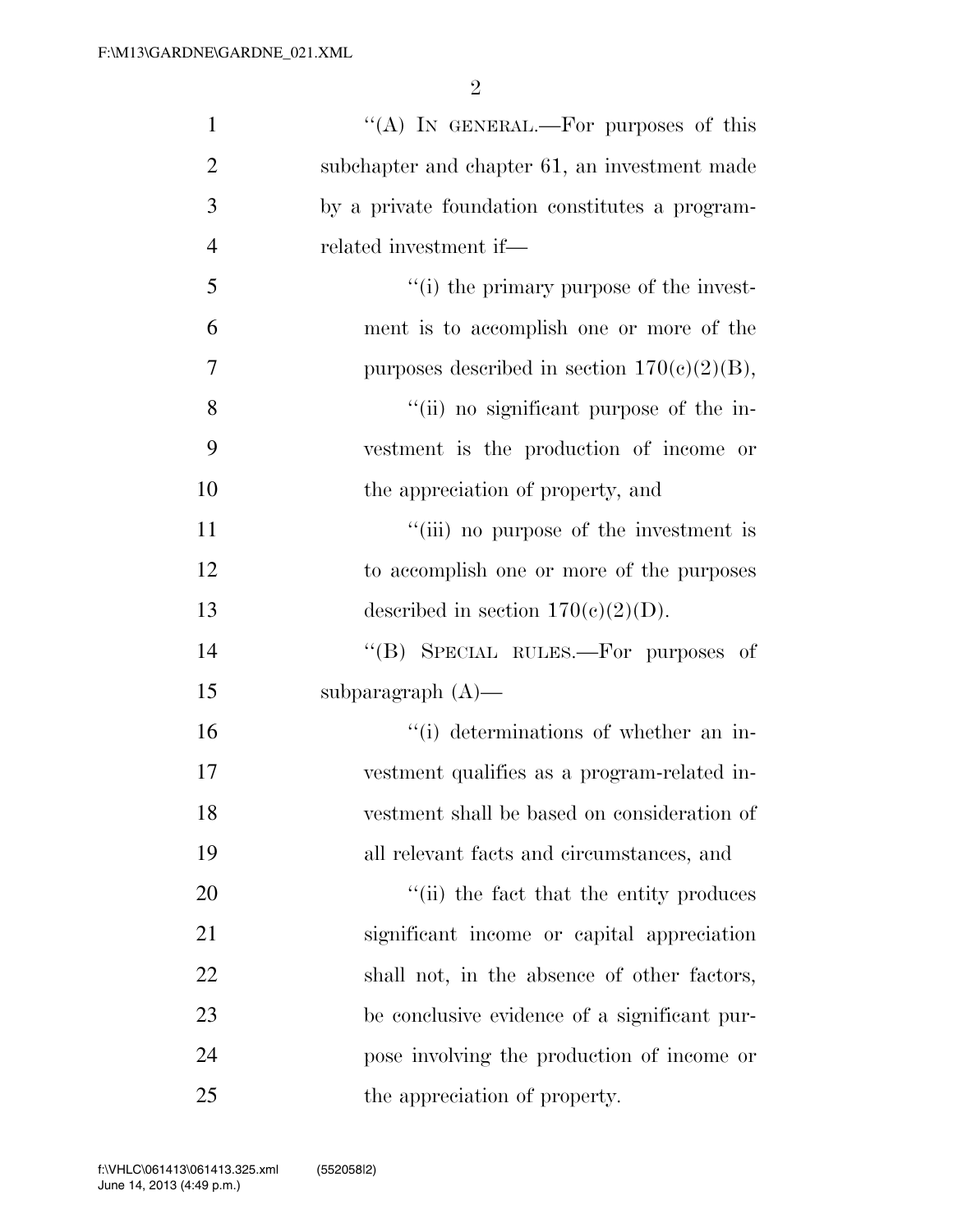| $\mathbf{1}$   | "(A) IN GENERAL.—For purposes of this          |
|----------------|------------------------------------------------|
| $\overline{2}$ | subchapter and chapter 61, an investment made  |
| 3              | by a private foundation constitutes a program- |
| $\overline{4}$ | related investment if—                         |
| 5              | "(i) the primary purpose of the invest-        |
| 6              | ment is to accomplish one or more of the       |
| 7              | purposes described in section $170(c)(2)(B)$ , |
| 8              | "(ii) no significant purpose of the in-        |
| 9              | vestment is the production of income or        |
| 10             | the appreciation of property, and              |
| 11             | "(iii) no purpose of the investment is         |
| 12             | to accomplish one or more of the purposes      |
| 13             | described in section $170(c)(2)(D)$ .          |
| 14             | "(B) SPECIAL RULES.—For purposes of            |
| 15             | subparagraph $(A)$ —                           |
| 16             | "(i) determinations of whether an in-          |
| 17             | vestment qualifies as a program-related in-    |
| 18             | vestment shall be based on consideration of    |
| 19             | all relevant facts and circumstances, and      |
| <b>20</b>      | "(ii) the fact that the entity produces        |
| 21             | significant income or capital appreciation     |
| 22             | shall not, in the absence of other factors,    |
| 23             | be conclusive evidence of a significant pur-   |
| 24             | pose involving the production of income or     |
| 25             | the appreciation of property.                  |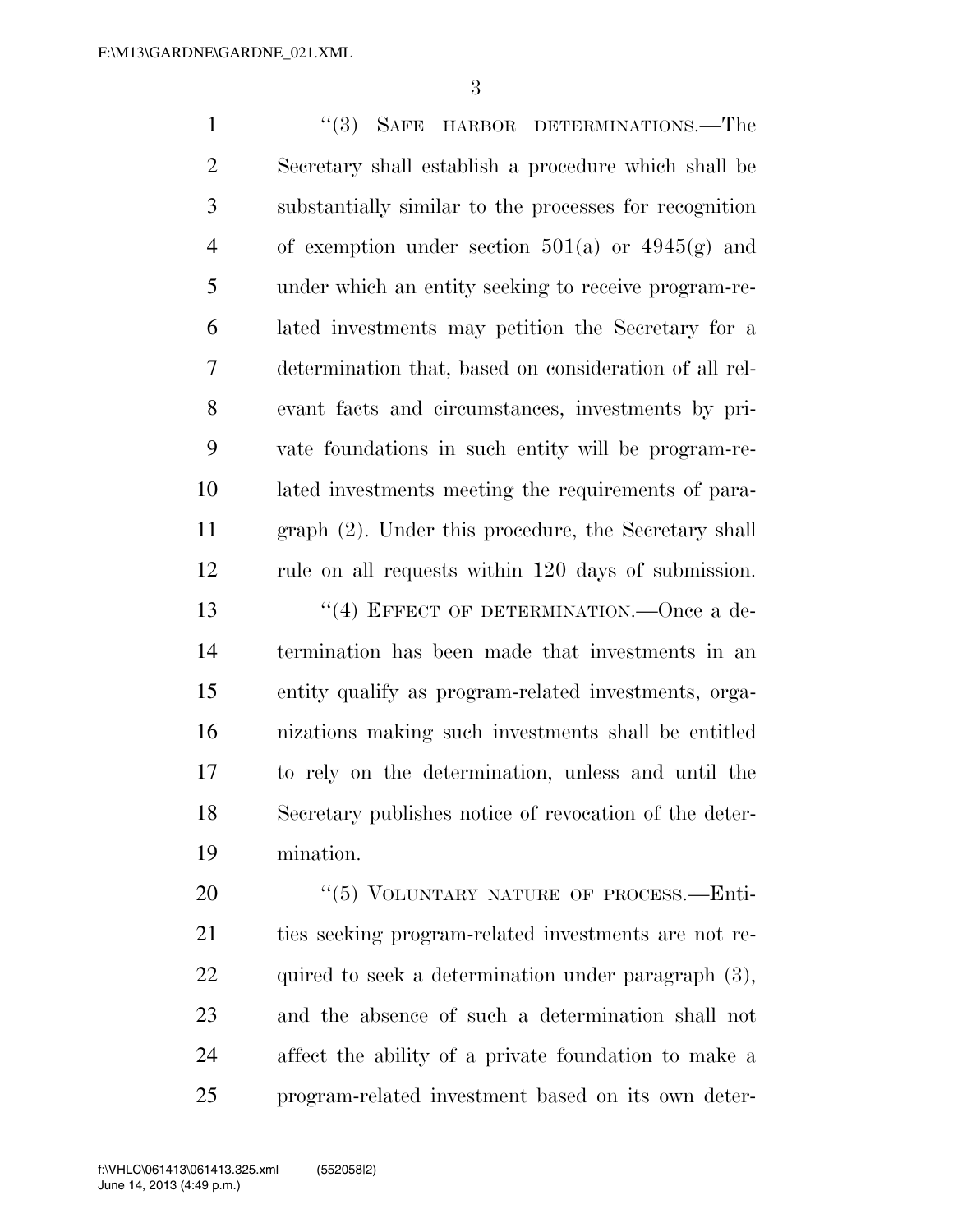1 ''(3) SAFE HARBOR DETERMINATIONS.—The Secretary shall establish a procedure which shall be substantially similar to the processes for recognition 4 of exemption under section  $501(a)$  or  $4945(g)$  and under which an entity seeking to receive program-re- lated investments may petition the Secretary for a determination that, based on consideration of all rel- evant facts and circumstances, investments by pri- vate foundations in such entity will be program-re- lated investments meeting the requirements of para- graph (2). Under this procedure, the Secretary shall rule on all requests within 120 days of submission. 13 "(4) EFFECT OF DETERMINATION. Once a de- termination has been made that investments in an entity qualify as program-related investments, orga- nizations making such investments shall be entitled to rely on the determination, unless and until the Secretary publishes notice of revocation of the deter- mination. 20 "(5) VOLUNTARY NATURE OF PROCESS.—Enti-

 ties seeking program-related investments are not re-22 quired to seek a determination under paragraph (3), and the absence of such a determination shall not affect the ability of a private foundation to make a program-related investment based on its own deter-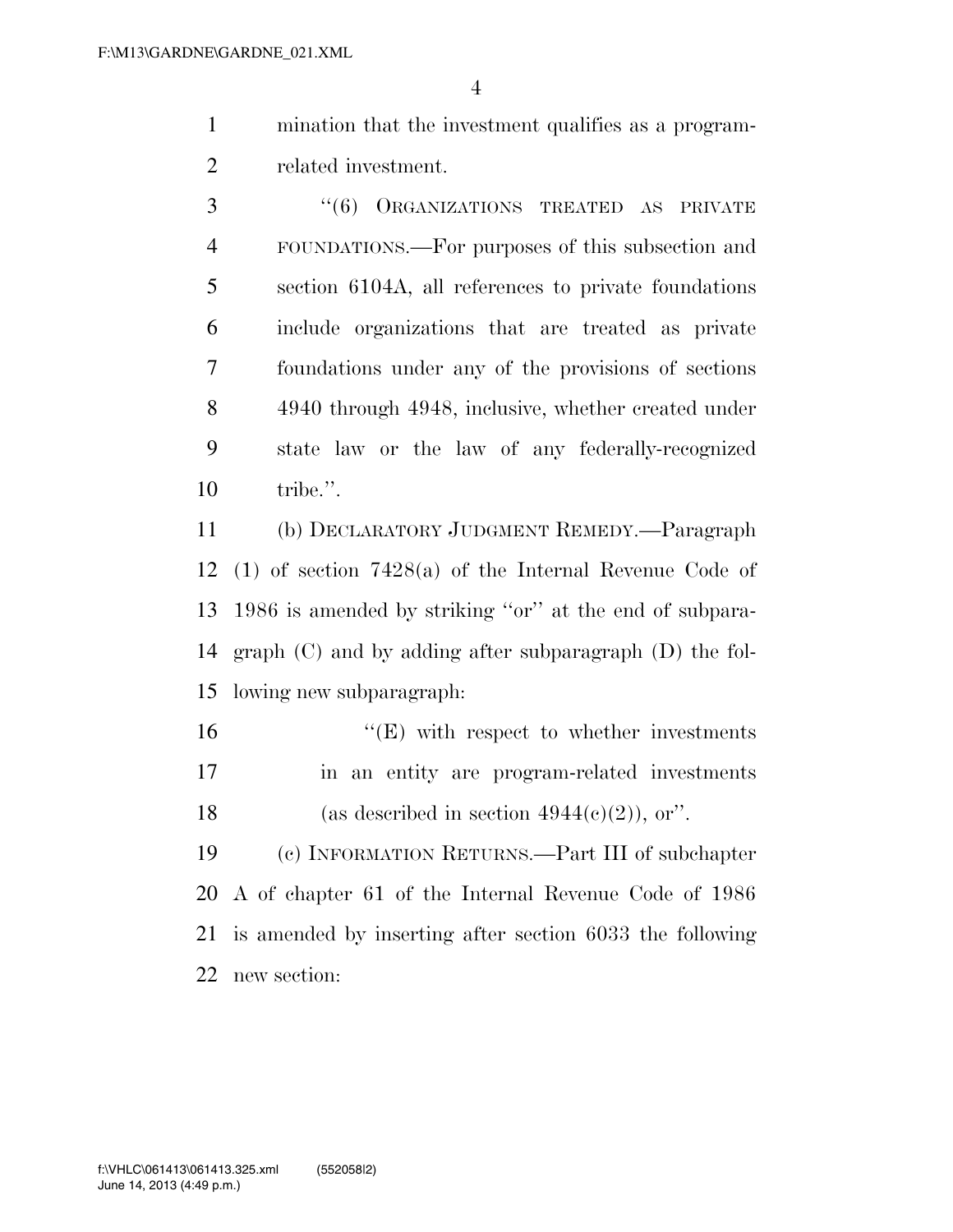- mination that the investment qualifies as a program-related investment.
- 3 "(6) ORGANIZATIONS TREATED AS PRIVATE FOUNDATIONS.—For purposes of this subsection and section 6104A, all references to private foundations include organizations that are treated as private foundations under any of the provisions of sections 4940 through 4948, inclusive, whether created under state law or the law of any federally-recognized tribe.''.

 (b) DECLARATORY JUDGMENT REMEDY.—Paragraph (1) of section 7428(a) of the Internal Revenue Code of 1986 is amended by striking ''or'' at the end of subpara- graph (C) and by adding after subparagraph (D) the fol-lowing new subparagraph:

16  $"$ (E) with respect to whether investments in an entity are program-related investments 18 (as described in section  $4944(e)(2)$ ), or".

 (c) INFORMATION RETURNS.—Part III of subchapter A of chapter 61 of the Internal Revenue Code of 1986 is amended by inserting after section 6033 the following new section: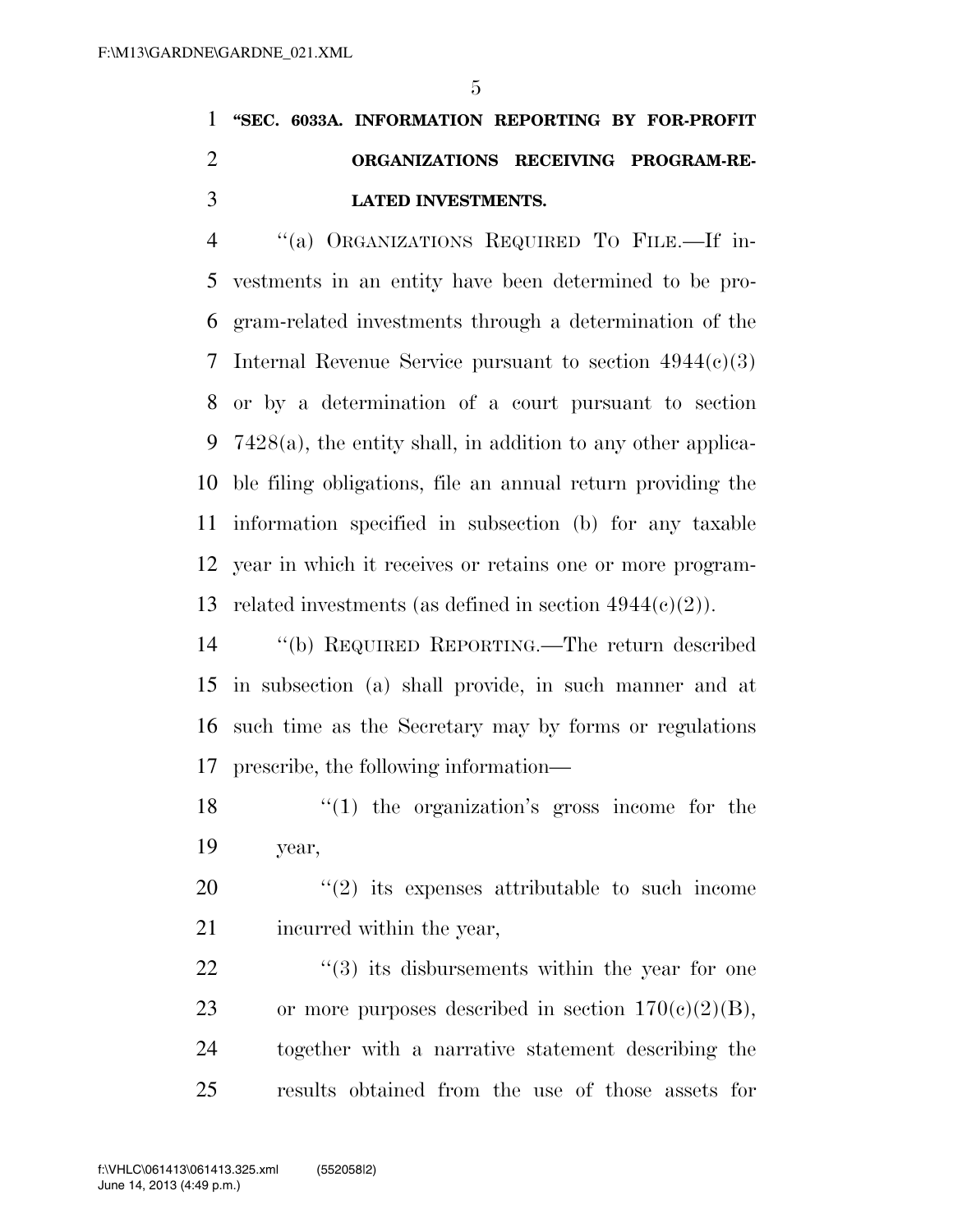## **''SEC. 6033A. INFORMATION REPORTING BY FOR-PROFIT ORGANIZATIONS RECEIVING PROGRAM-RE-LATED INVESTMENTS.**

 ''(a) ORGANIZATIONS REQUIRED TO FILE.—If in- vestments in an entity have been determined to be pro- gram-related investments through a determination of the 7 Internal Revenue Service pursuant to section  $4944(c)(3)$  or by a determination of a court pursuant to section 7428(a), the entity shall, in addition to any other applica- ble filing obligations, file an annual return providing the information specified in subsection (b) for any taxable year in which it receives or retains one or more program-13 related investments (as defined in section  $4944(c)(2)$ ).

 ''(b) REQUIRED REPORTING.—The return described in subsection (a) shall provide, in such manner and at such time as the Secretary may by forms or regulations prescribe, the following information—

 ''(1) the organization's gross income for the year,

 ''(2) its expenses attributable to such income incurred within the year,

 $\frac{1}{2}$  (3) its disbursements within the year for one 23 or more purposes described in section  $170(c)(2)(B)$ , together with a narrative statement describing the results obtained from the use of those assets for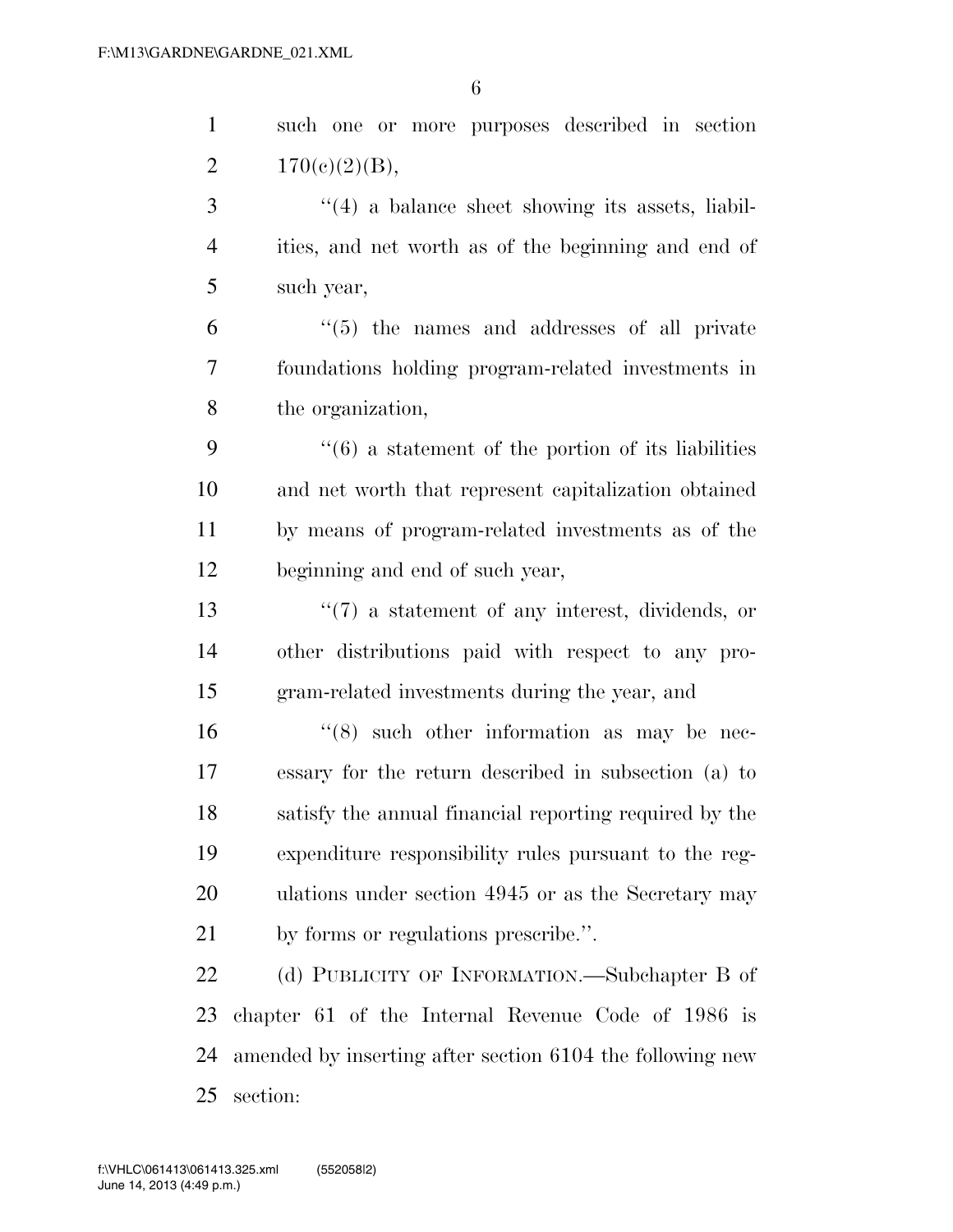|                | 6                                                                  |
|----------------|--------------------------------------------------------------------|
| $\mathbf{1}$   | such one or more purposes described in section                     |
| $\overline{2}$ | 170(c)(2)(B),                                                      |
| 3              | $\lq(4)$ a balance sheet showing its assets, liabil-               |
| $\overline{4}$ | ities, and net worth as of the beginning and end of                |
| 5              | such year,                                                         |
| 6              | $\lq(5)$ the names and addresses of all private                    |
| 7              | foundations holding program-related investments in                 |
| 8              | the organization,                                                  |
| 9              | $\cdot\cdot\cdot(6)$ a statement of the portion of its liabilities |
| 10             | and net worth that represent capitalization obtained               |
| 11             | by means of program-related investments as of the                  |
| 12             | beginning and end of such year,                                    |
| 13             | $\lq(7)$ a statement of any interest, dividends, or                |
| 14             | other distributions paid with respect to any pro-                  |
| 15             | gram-related investments during the year, and                      |
| 16             | $(8)$ such other information as may be nec-                        |
| 17             | essary for the return described in subsection (a) to               |
| 18             | satisfy the annual financial reporting required by the             |
| 19             | expenditure responsibility rules pursuant to the reg-              |
|                |                                                                    |

by forms or regulations prescribe.''.

22 (d) PUBLICITY OF INFORMATION.—Subchapter B of chapter 61 of the Internal Revenue Code of 1986 is amended by inserting after section 6104 the following new section:

ulations under section 4945 or as the Secretary may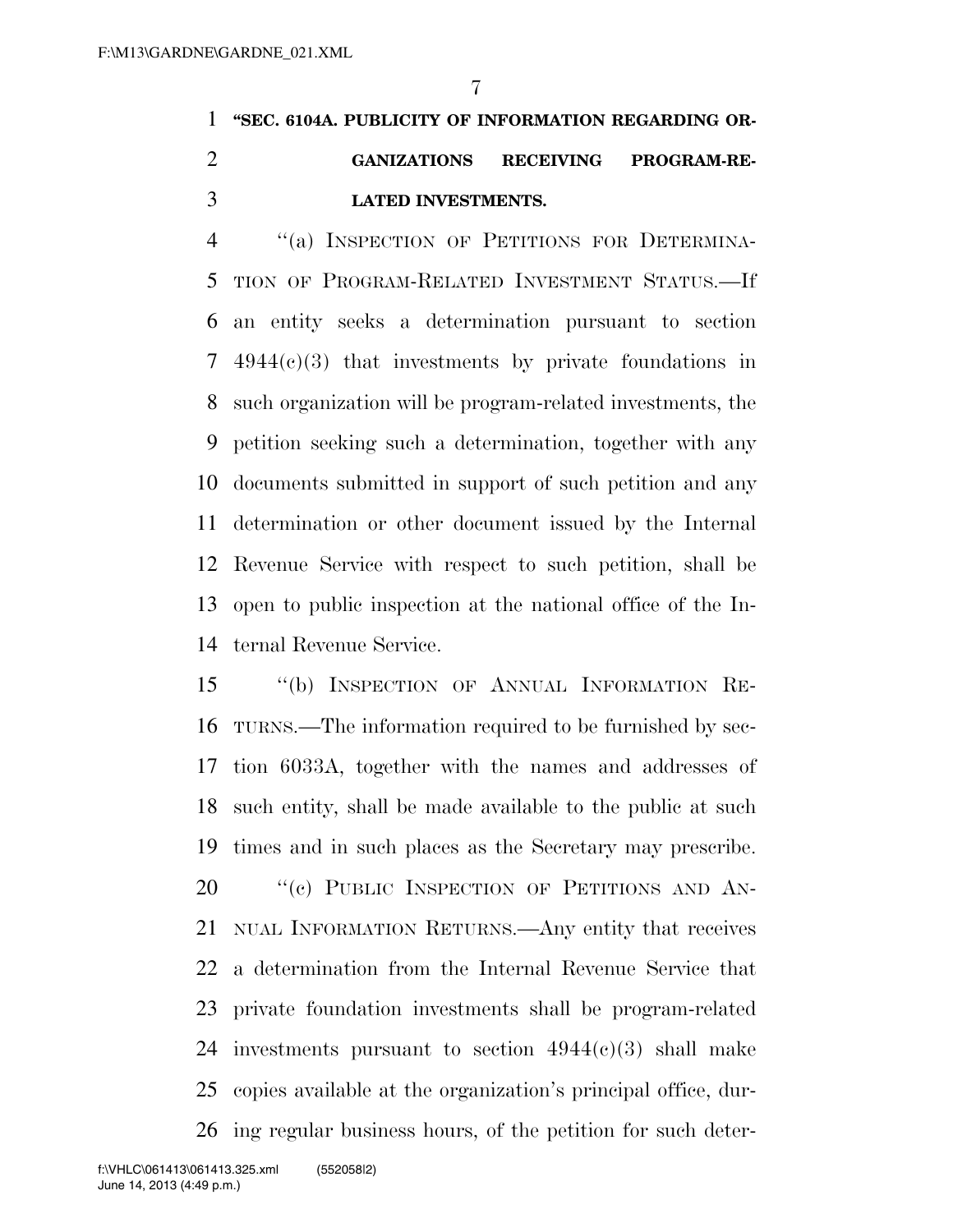## **''SEC. 6104A. PUBLICITY OF INFORMATION REGARDING OR- GANIZATIONS RECEIVING PROGRAM-RE-LATED INVESTMENTS.**

 ''(a) INSPECTION OF PETITIONS FOR DETERMINA- TION OF PROGRAM-RELATED INVESTMENT STATUS.—If an entity seeks a determination pursuant to section 4944(c)(3) that investments by private foundations in such organization will be program-related investments, the petition seeking such a determination, together with any documents submitted in support of such petition and any determination or other document issued by the Internal Revenue Service with respect to such petition, shall be open to public inspection at the national office of the In-ternal Revenue Service.

 ''(b) INSPECTION OF ANNUAL INFORMATION RE- TURNS.—The information required to be furnished by sec- tion 6033A, together with the names and addresses of such entity, shall be made available to the public at such times and in such places as the Secretary may prescribe. 20 "(c) PUBLIC INSPECTION OF PETITIONS AND AN- NUAL INFORMATION RETURNS.—Any entity that receives a determination from the Internal Revenue Service that private foundation investments shall be program-related 24 investments pursuant to section  $4944(e)(3)$  shall make copies available at the organization's principal office, dur-ing regular business hours, of the petition for such deter-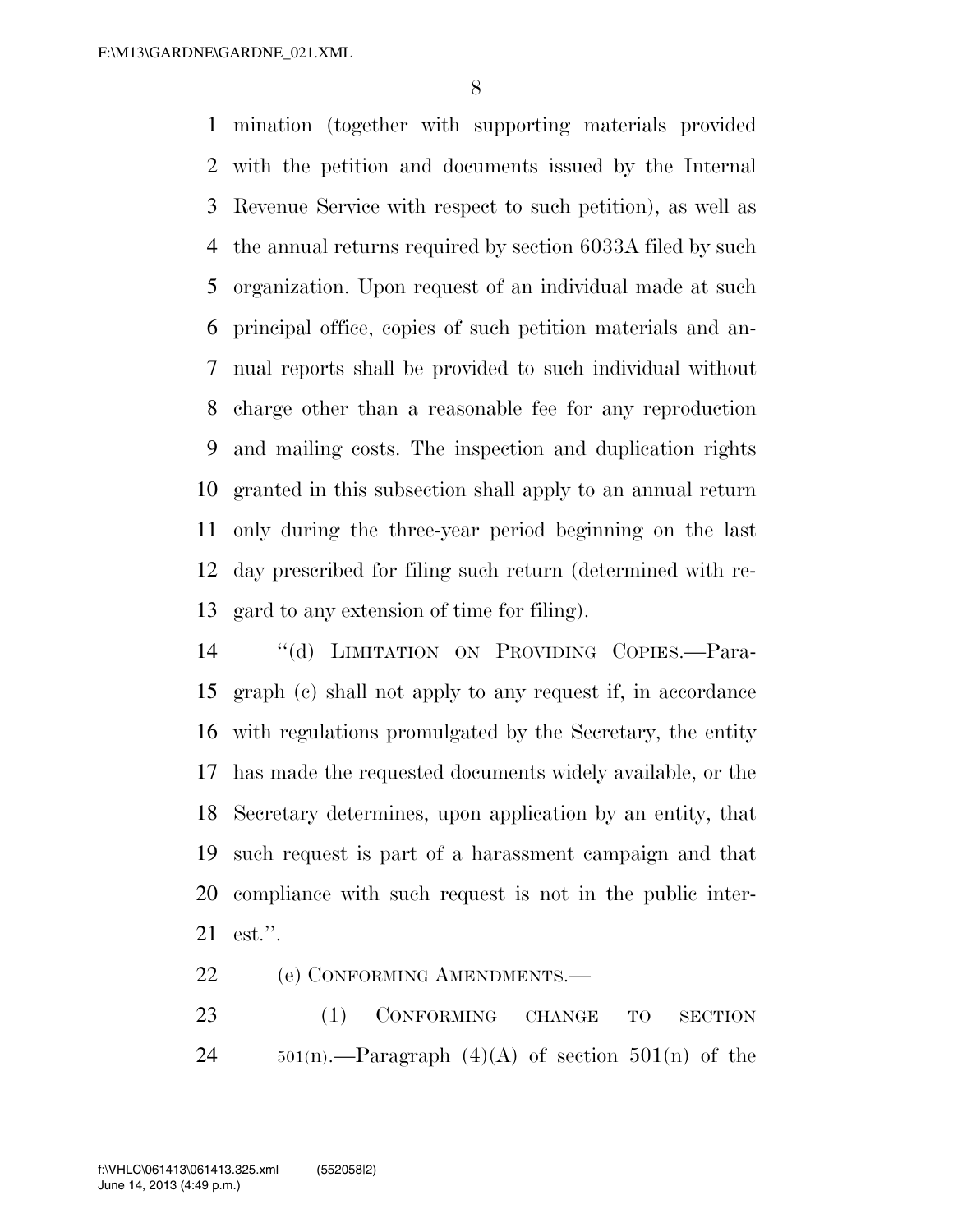mination (together with supporting materials provided with the petition and documents issued by the Internal Revenue Service with respect to such petition), as well as the annual returns required by section 6033A filed by such organization. Upon request of an individual made at such principal office, copies of such petition materials and an- nual reports shall be provided to such individual without charge other than a reasonable fee for any reproduction and mailing costs. The inspection and duplication rights granted in this subsection shall apply to an annual return only during the three-year period beginning on the last day prescribed for filing such return (determined with re-gard to any extension of time for filing).

 ''(d) LIMITATION ON PROVIDING COPIES.—Para- graph (c) shall not apply to any request if, in accordance with regulations promulgated by the Secretary, the entity has made the requested documents widely available, or the Secretary determines, upon application by an entity, that such request is part of a harassment campaign and that compliance with such request is not in the public inter-est.''.

(e) CONFORMING AMENDMENTS.—

23 (1) CONFORMING CHANGE TO SECTION 24  $501(n)$ .—Paragraph (4)(A) of section  $501(n)$  of the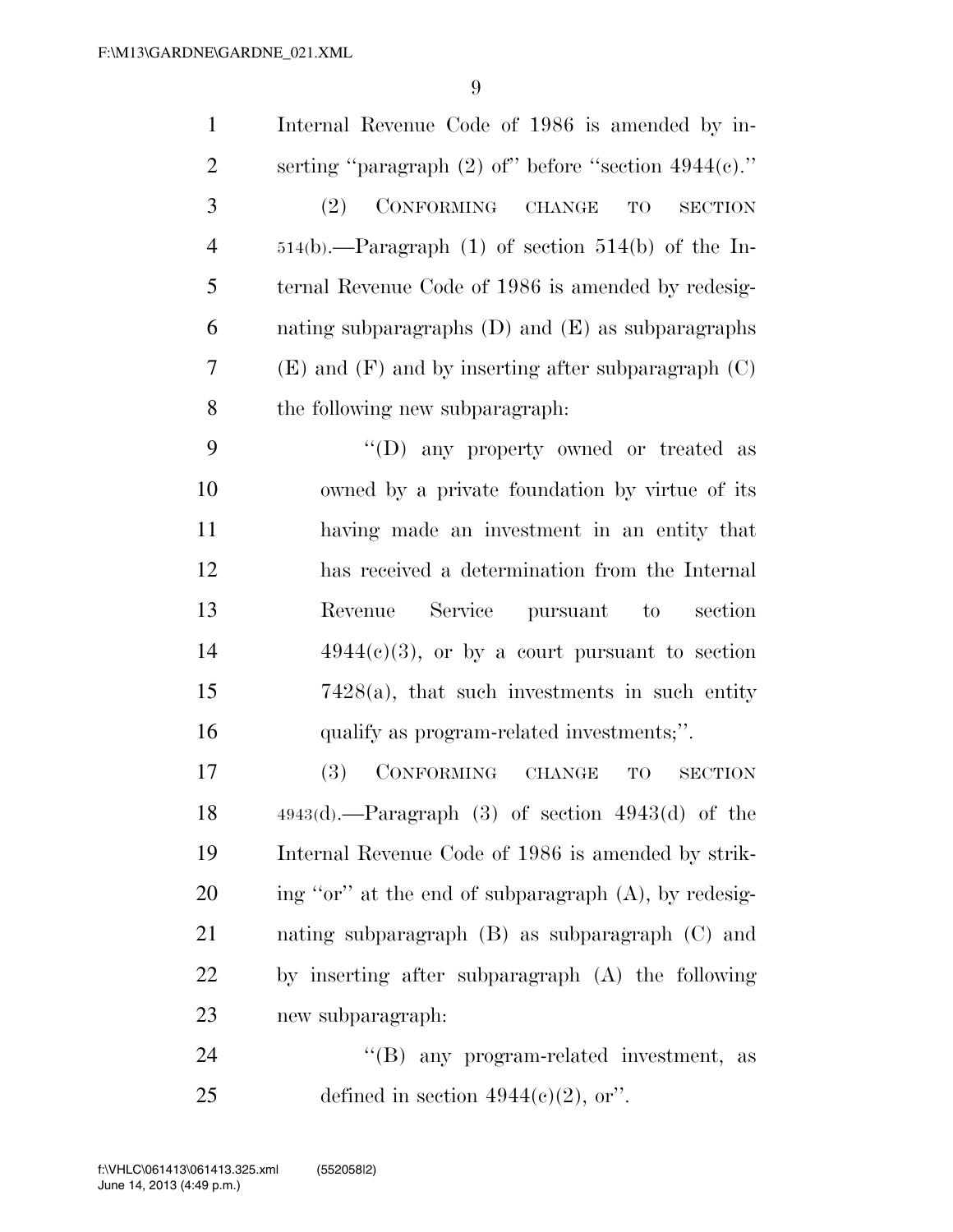| $\mathbf{1}$   | Internal Revenue Code of 1986 is amended by in-           |
|----------------|-----------------------------------------------------------|
| $\overline{2}$ | serting "paragraph $(2)$ of" before "section $4944(c)$ ." |
| 3              | CONFORMING CHANGE<br>(2)<br>TO<br><b>SECTION</b>          |
| $\overline{4}$ | $514(b)$ .—Paragraph (1) of section $514(b)$ of the In-   |
| 5              | ternal Revenue Code of 1986 is amended by redesig-        |
| 6              | nating subparagraphs $(D)$ and $(E)$ as subparagraphs     |
| 7              | $(E)$ and $(F)$ and by inserting after subparagraph $(C)$ |
| 8              | the following new subparagraph:                           |
| 9              | "(D) any property owned or treated as                     |
| 10             | owned by a private foundation by virtue of its            |
| 11             | having made an investment in an entity that               |
| 12             | has received a determination from the Internal            |
| 13             | Service pursuant to<br>section<br>Revenue                 |
| 14             | $4944(e)(3)$ , or by a court pursuant to section          |
| 15             | $7428(a)$ , that such investments in such entity          |
| 16             | qualify as program-related investments;".                 |
| 17             | <b>(3)</b><br>CONFORMING CHANGE<br>TO<br><b>SECTION</b>   |
| 18             | $4943(d)$ .—Paragraph (3) of section $4943(d)$ of the     |
| 19             | Internal Revenue Code of 1986 is amended by strik-        |
| 20             | ing "or" at the end of subparagraph (A), by redesig-      |
| 21             | nating subparagraph $(B)$ as subparagraph $(C)$ and       |
| 22             | by inserting after subparagraph (A) the following         |
| 23             | new subparagraph:                                         |
| 24             | any program-related investment,<br>$\lq\lq (B)$<br>as     |

25 defined in section  $4944(e)(2)$ , or".

June 14, 2013 (4:49 p.m.) f:\VHLC\061413\061413.325.xml (552058|2)